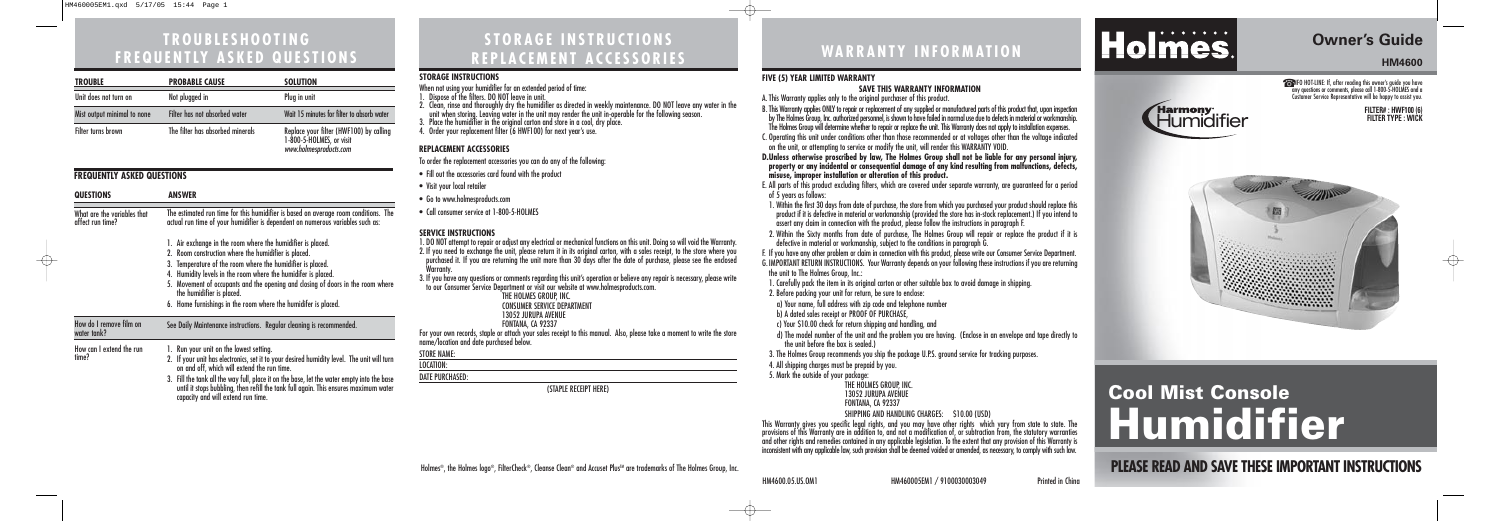# **WARRANTY INFORMATION**

**Owner's Guide HM4600**

☎INFO HOT-LINE: If, after reading this owner's guide you have any questions or comments, please call 1-800-5-HOLMES and a Customer Service Representative will be happy to assist you.

# **Cool Mist Console Humidifier**

# Holmes®, the Holmes logo®, FilterCheck®, Cleanse Clean® and Accuset Plus™ are trademarks of The Holmes Group, Inc. **PLEASE READ AND SAVE THESE IMPORTANT INSTRUCTIONS**





## **STORAGE INSTRUCTIONS REPLACEMENT ACCESSORIES**

2. Within the Sixty months from date of purchase, The Holmes Group will repair or replace the product if it is defective in material or workmanship, subject to the conditions in paragraph G.

| <b>TROUBLE</b>              | <b>PROBABLE CAUSE</b>            | <b>SOLUTION</b>                                                                               |
|-----------------------------|----------------------------------|-----------------------------------------------------------------------------------------------|
| Unit does not turn on       | Not plugged in                   | Plug in unit                                                                                  |
| Mist output minimal to none | Filter has not absorbed water    | Wait 15 minutes for filter to absorb water                                                    |
| Filter turns brown          | The filter has absorbed minerals | Replace your filter (HWF100) by calling<br>1-800-5-HOLMES, or visit<br>www.holmesproducts.com |

# **TROUBLESHOOTING FREQUENTLY ASKED QUESTIONS**

### **FIVE (5) YEAR LIMITED WARRANTY**

### **SAVE THIS WARRANTY INFORMATION**

d) The model number of the unit and the problem you are having. (Enclose in an envelope and tape directly to the unit before the box is sealed.)

A. This Warranty applies only to the original purchaser of this product.

B. This Warranty applies ONLY to repair or replacement of any supplied or manufactured parts of this product that, upon inspection by The Holmes Group, Inc. authorized personnel, is shown to have failed in normal use due to defects in material or workmanship. The Holmes Group will determine whether to repair or replace the unit. This Warranty does not apply to installation expenses. C. Operating this unit under conditions other than those recommended or at voltages other than the voltage indicated on the unit, or attempting to service or modify the unit, will render this WARRANTY VOID.

**D.Unless otherwise proscribed by law, The Holmes Group shall not be liable for any personal injury, property or any incidental or consequential damage of any kind resulting from malfunctions, defects, misuse, improper installation or alteration of this product.**

E. All parts of this product excluding filters, which are covered under separate warranty, are guaranteed for a period of 5 years as follows:

| JIVRAVL INJIRULIIVNJ<br>When not using your humidifier for an extended period of time:                                                             |
|----------------------------------------------------------------------------------------------------------------------------------------------------|
| 1. Dispose of the filters. DO NOT leave in unit.                                                                                                   |
| 2. Clean, rinse and thoroughly dry the humidifier as directed in weekly maintenance. DO NOT leave any water in the                                 |
| unit when storing. Leaving water in the unit may render the unit in-operable for the following season.                                             |
| 3. Place the humidifier in the original carton and store in a cool, dry place.<br>4. Order your replacement filter (6 HWF100) for next year's use. |
|                                                                                                                                                    |
| <b>REPLACEMENT ACCESSORIES</b>                                                                                                                     |
| To order the replacement accessories you can do any of the following:                                                                              |
| • Fill out the accessories card found with the product                                                                                             |
|                                                                                                                                                    |
| • Visit your local retailer                                                                                                                        |
| • Go to www.holmesproducts.com                                                                                                                     |
| • Call consumer service at 1-800-5-HOLMES                                                                                                          |
| <b>SERVICE INSTRUCTIONS</b>                                                                                                                        |
| 1. DO NOT attempt to repair or adjust any electrical or mechanical functions on this unit. Doing so will void the Warranty.                        |
| 2. If you need to exchange the unit, please return it in its original carton, with a sales receipt, to the store where you                         |
| purchased it. If you are returning the unit more than 30 days after the date of purchase, please see the enclosed                                  |
| <b>Warranty.</b>                                                                                                                                   |
| 3. If you have any questions or comments regarding this unit's operation or believe any repair is necessary, please write                          |
| to our Consumer Service Department or visit our website at www.holmesproducts.com.                                                                 |
| THE HOLMES GROUP, INC.<br><b>CONSUMER SERVICE DEPARTMENT</b>                                                                                       |
| <b>13052 JURUPA AVENUE</b>                                                                                                                         |
| FONTANA, CA 92337                                                                                                                                  |
| For your own records, staple or attach your sales receipt to this manual. Also, please take a moment to write the store                            |
| name/location and date purchased below.                                                                                                            |
| <b>STORE NAME:</b>                                                                                                                                 |
| LOCATION:                                                                                                                                          |
| <b>DATE PURCHASED:</b>                                                                                                                             |
| (STAPLE RECEIPT HERE)                                                                                                                              |

1. Within the first 30 days from date of purchase, the store from which you purchased your product should replace this product if it is defective in material or workmanship (provided the store has in-stock replacement.) If you intend to assert any claim in connection with the product, please follow the instructions in paragraph F.

F. If you have any other problem or claim in connection with this product, please write our Consumer Service Department. G. IMPORTANT RETURN INSTRUCTIONS. Your Warranty depends on your following these instructions if you are returning the unit to The Holmes Group, Inc.:

1. Carefully pack the item in its original carton or other suitable box to avoid damage in shipping.

2. Before packing your unit for return, be sure to enclose:

a) Your name, full address with zip code and telephone number

b) A dated sales receipt or PROOF OF PURCHASE

c) Your \$10.00 check for return shipping and handling, and

3. The Holmes Group recommends you ship the package U.P.S. ground service for tracking purposes.

4. All shipping charges must be prepaid by you.

5. Mark the outside of your package:

THE HOLMES GROUP, INC. 13052 JURUPA AVENUE FONTANA, CA 92337

SHIPPING AND HANDLING CHARGES: \$10.00 (USD)

This Warranty gives you specific legal rights, and you may have other rights which vary from state to state. The provisions of this Warranty are in addition to, and not a modification of, or subtraction from, the statutory warranties and other rights and remedies contained in any applicable legislation. To the extent that any provision of this Warranty is inconsistent with any applicable law, such provision shall be deemed voided or amended, as necessary, to comply with such law.

#### **STORAGE INSTRUCTIONS**

## **FREQUENTLY ASKED QUESTIONS**

| <b>QUESTIONS</b>                                | ANSWER                                                                                                                                                                                                                   |  |
|-------------------------------------------------|--------------------------------------------------------------------------------------------------------------------------------------------------------------------------------------------------------------------------|--|
| What are the variables that<br>affect run time? | The estimated run time for this humidifier is based on average room conditions. The<br>actual run time of your humidifier is dependent on numerous variables such as:                                                    |  |
|                                                 | 1. Air exchange in the room where the humidifier is placed.                                                                                                                                                              |  |
|                                                 | 2. Room construction where the humidifier is placed.                                                                                                                                                                     |  |
|                                                 | 3. Temperature of the room where the humidifier is placed.                                                                                                                                                               |  |
|                                                 | 4. Humidity levels in the room where the humidifer is placed.                                                                                                                                                            |  |
|                                                 | 5. Movement of occupants and the opening and closing of doors in the room where<br>the humidifier is placed.                                                                                                             |  |
|                                                 | 6. Home furnishings in the room where the humidifer is placed.                                                                                                                                                           |  |
| How do I remove film on<br>water tank?          | See Daily Maintenance instructions. Regular cleaning is recommended.                                                                                                                                                     |  |
| How can I extend the run<br>time?               | 1. Run your unit on the lowest setting.                                                                                                                                                                                  |  |
|                                                 | 2. If your unit has electronics, set it to your desired humidity level. The unit will turn<br>on and off, which will extend the run time.                                                                                |  |
|                                                 | 3. Fill the tank all the way full, place it on the base, let the water empty into the base<br>until it stops bubbling, then refill the tank full again. This ensures maximum water<br>capacity and will extend run time. |  |



Holmes.